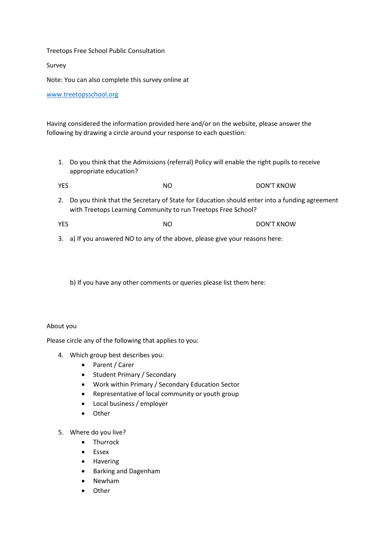## Treetops Free School Public Consultation

Survey

Note: You can also complete this survey online at

[www.treetopsschool.org](http://www.treetopsschool.org/)

Having considered the information provided here and/or on the website, please answer the following by drawing a circle around your response to each question:

1. Do you think that the Admissions (referral) Policy will enable the right pupils to receive appropriate education?

YES NO NO DON'T KNOW

- 2. Do you think that the Secretary of State for Education should enter into a funding agreement with Treetops Learning Community to run Treetops Free School?
- YES NO NO DON'T KNOW
- 3. a) If you answered NO to any of the above, please give your reasons here:

b) If you have any other comments or queries please list them here:

## About you

Please circle any of the following that applies to you:

- 4. Which group best describes you:
	- Parent / Carer
	- Student Primary / Secondary
	- Work within Primary / Secondary Education Sector
	- Representative of local community or youth group
	- Local business / employer
	- Other
- 5. Where do you live?
	- Thurrock
	- **Fssex**
	- Havering
	- Barking and Dagenham
	- Newham
	- Other